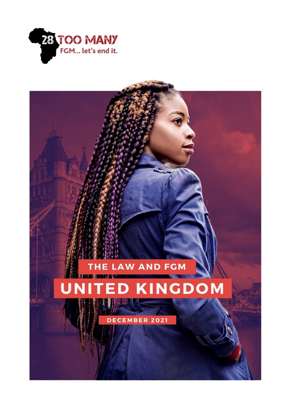

# **IE LAW AND FGM**

#### **KINGDOM** Ū D

DECEMBER 2021

**0**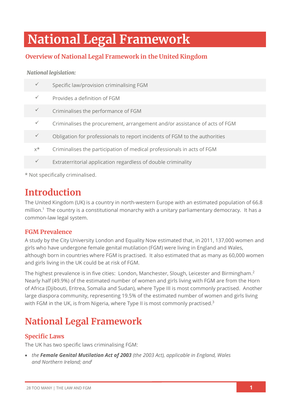# **National Legal Framework**

# **Overview of National Legal Framework in the United Kingdom**

#### *National legislation:*

| $\checkmark$ | Specific law/provision criminalising FGM                                   |
|--------------|----------------------------------------------------------------------------|
| $\checkmark$ | Provides a definition of FGM                                               |
| $\checkmark$ | Criminalises the performance of FGM                                        |
| $\checkmark$ | Criminalises the procurement, arrangement and/or assistance of acts of FGM |
| $\checkmark$ | Obligation for professionals to report incidents of FGM to the authorities |
| $x^*$        | Criminalises the participation of medical professionals in acts of FGM     |
| $\checkmark$ | Extraterritorial application regardless of double criminality              |
|              |                                                                            |

\* Not specifically criminalised.

# **Introduction**

The United Kingdom (UK) is a country in north-western Europe with an estimated population of 66.8 million. <sup>1</sup> The country is a constitutional monarchy with a unitary parliamentary democracy. It has a common-law legal system.

## **FGM Prevalence**

A study by the City University London and Equality Now estimated that, in 2011, 137,000 women and girls who have undergone female genital mutilation (FGM) were living in England and Wales, although born in countries where FGM is practised. It also estimated that as many as 60,000 women and girls living in the UK could be at risk of FGM.

The highest prevalence is in five cities: London, Manchester, Slough, Leicester and Birmingham.<sup>2</sup> Nearly half (49.9%) of the estimated number of women and girls living with FGM are from the Horn of Africa (Djibouti, Eritrea, Somalia and Sudan), where Type III is most commonly practised. Another large diaspora community, representing 19.5% of the estimated number of women and girls living with FGM in the UK, is from Nigeria, where Type II is most commonly practised.<sup>3</sup>

# **National Legal Framework**

# **Specific Laws**

The UK has two specific laws criminalising FGM:

• *the Female Genital Mutilation Act of 2003 (the 2003 Act), applicable in England, Wales and Northern Ireland; and<sup>i</sup>*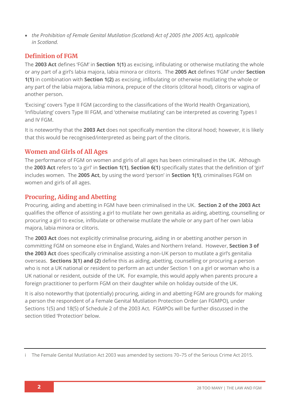• *the Prohibition of Female Genital Mutilation (Scotland) Act of 2005 (the 2005 Act), applicable in Scotland.*

# **Definition of FGM**

The **2003 Act** defines 'FGM' in **Section 1(1)** as excising, infibulating or otherwise mutilating the whole or any part of a girl's labia majora, labia minora or clitoris. The **2005 Act** defines 'FGM' under **Section 1(1)** in combination with **Section 1(2)** as excising, infibulating or otherwise mutilating the whole or any part of the labia majora, labia minora, prepuce of the clitoris (clitoral hood), clitoris or vagina of another person.

'Excising' covers Type II FGM (according to the classifications of the World Health Organization), 'infibulating' covers Type III FGM, and 'otherwise mutilating' can be interpreted as covering Types I and IV FGM.

It is noteworthy that the **2003 Act** does not specifically mention the clitoral hood; however, it is likely that this would be recognised/interpreted as being part of the clitoris.

## **Women and Girls of All Ages**

The performance of FGM on women and girls of all ages has been criminalised in the UK. Although the **2003 Act** refers to 'a girl' in **Section 1(1)**, **Section 6(1)** specifically states that the definition of 'girl' includes women. The **2005 Act**, by using the word 'person' in **Section 1(1)**, criminalises FGM on women and girls of all ages.

## **Procuring, Aiding and Abetting**

Procuring, aiding and abetting in FGM have been criminalised in the UK. **Section 2 of the 2003 Act** qualifies the offence of assisting a girl to mutilate her own genitalia as aiding, abetting, counselling or procuring a girl to excise, infibulate or otherwise mutilate the whole or any part of her own labia majora, labia minora or clitoris.

The **2003 Act** does not explicitly criminalise procuring, aiding in or abetting another person in committing FGM on someone else in England, Wales and Northern Ireland. However, **Section 3 of the 2003 Act** does specifically criminalise assisting a non-UK person to mutilate a girl's genitalia overseas. **Sections 3(1) and (2)** define this as aiding, abetting, counselling or procuring a person who is not a UK national or resident to perform an act under Section 1 on a girl or woman who is a UK national or resident, outside of the UK. For example, this would apply when parents procure a foreign practitioner to perform FGM on their daughter while on holiday outside of the UK.

It is also noteworthy that (potentially) procuring, aiding in and abetting FGM are grounds for making a person the respondent of a Female Genital Mutilation Protection Order (an FGMPO), under Sections 1(5) and 18(5) of Schedule 2 of the 2003 Act. FGMPOs will be further discussed in the section titled 'Protection' below.

i The Female Genital Mutilation Act 2003 was amended by sections 70–75 of the Serious Crime Act 2015.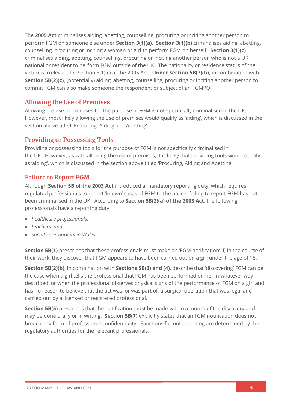The **2005 Act** criminalises aiding, abetting, counselling, procuring or inciting another person to perform FGM on someone else under **Section 3(1)(a). Section 3(1)(b)** criminalises aiding, abetting, counselling, procuring or inciting a woman or girl to perform FGM on herself. **Section 3(1)(c)** criminalises aiding, abetting, counselling, procuring or inciting another person who is not a UK national or resident to perform FGM outside of the UK. The nationality or residence status of the victim is irrelevant for Section 3(1)(c) of the 2005 Act. **Under Section 5B(7)(b),** in combination with **Section 5B(2)(c),** (potentially) aiding, abetting, counselling, procuring or inciting another person to commit FGM can also make someone the respondent or subject of an FGMPO.

### **Allowing the Use of Premises**

Allowing the use of premises for the purpose of FGM is not specifically criminalised in the UK. However, most likely allowing the use of premises would qualify as 'aiding', which is discussed in the section above titled 'Procuring, Aiding and Abetting'.

## **Providing or Possessing Tools**

Providing or possessing tools for the purpose of FGM is not specifically criminalised in the UK. However, as with allowing the use of premises, it is likely that providing tools would qualify as 'aiding', which is discussed in the section above titled 'Procuring, Aiding and Abetting'.

## **Failure to Report FGM**

Although **Section 5B of the 2003 Act** introduced a mandatory reporting duty, which requires regulated professionals to report 'known' cases of FGM to the police, failing to report FGM has not been criminalised in the UK. According to **Section 5B(2)(a) of the 2003 Act**, the following professionals have a reporting duty:

- *healthcare professionals;*
- *teachers; and*
- *social-care workers in Wales.*

**Section 5B(1)** prescribes that these professionals must make an 'FGM notification' if, in the course of their work, they discover that FGM appears to have been carried out on a girl under the age of 18.

**Section 5B(2)(b)**, in combination with **Sections 5B(3) and (4)**, describe that 'discovering' FGM can be the case when a girl tells the professional that FGM has been performed on her in whatever way described, or when the professional observes physical signs of the performance of FGM on a girl and has no reason to believe that the act was, or was part of, a surgical operation that was legal and carried out by a licensed or registered professional.

**Section 5B(5)** prescribes that the notification must be made within a month of the discovery and may be done orally or in writing. **Section 5B(7)** explicitly states that an FGM notification does not breach any form of professional confidentiality. Sanctions for not reporting are determined by the regulatory authorities for the relevant professionals.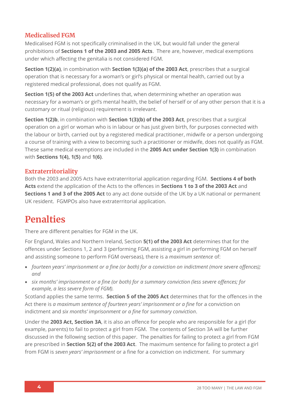# **Medicalised FGM**

Medicalised FGM is not specifically criminalised in the UK, but would fall under the general prohibitions of **Sections 1 of the 2003 and 2005 Acts**. There are, however, medical exemptions under which affecting the genitalia is not considered FGM.

**Section 1(2)(a)**, in combination with **Section 1(3)(a) of the 2003 Act**, prescribes that a surgical operation that is necessary for a woman's or girl's physical or mental health, carried out by a registered medical professional, does not qualify as FGM.

**Section 1(5) of the 2003 Act** underlines that, when determining whether an operation was necessary for a woman's or girl's mental health, the belief of herself or of any other person that it is a customary or ritual (religious) requirement is irrelevant.

**Section 1(2)b**, in combination with **Section 1(3)(b) of the 2003 Act**, prescribes that a surgical operation on a girl or woman who is in labour or has just given birth, for purposes connected with the labour or birth, carried out by a registered medical practitioner, midwife or a person undergoing a course of training with a view to becoming such a practitioner or midwife, does not qualify as FGM. These same medical exemptions are included in the **2005 Act under Section 1(3)** in combination with **Sections 1(4), 1(5)** and **1(6)**.

### **Extraterritoriality**

Both the 2003 and 2005 Acts have extraterritorial application regarding FGM. **Sections 4 of both Acts** extend the application of the Acts to the offences in **Sections 1 to 3 of the 2003 Act** and **Sections 1 and 3 of the 2005 Act** to any act done outside of the UK by a UK national or permanent UK resident. FGMPOs also have extraterritorial application.

# **Penalties**

There are different penalties for FGM in the UK.

For England, Wales and Northern Ireland, Section **5(1) of the 2003 Act** determines that for the offences under Sections 1, 2 and 3 (performing FGM, assisting a girl in performing FGM on herself and assisting someone to perform FGM overseas), there is a *maximum sentence* of:

- *fourteen years' imprisonment or a fine (or both) for a conviction on indictment (more severe offences); and*
- *six months' imprisonment or a fine (or both) for a summary conviction (less severe offences; for example, a less severe form of FGM).*

Scotland applies the same terms. **Section 5 of the 2005 Act** determines that for the offences in the Act there is *a maximum sentence of fourteen years' imprisonment or a fine* for a conviction on indictment and *six months' imprisonment or a fine* for *summary conviction*.

Under the **2003 Act, Section 3A**, it is also an offence for people who are responsible for a girl (for example, parents) to fail to protect a girl from FGM. The contents of Section 3A will be further discussed in the following section of this paper. The penalties for failing to protect a girl from FGM are prescribed in **Section 5(2) of the 2003 Act**. The maximum sentence for failing to protect a girl from FGM is *seven years' imprisonment* or a fine for a conviction on indictment. For summary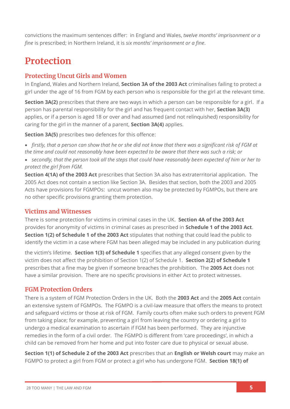convictions the maximum sentences differ: in England and Wales, *twelve months' imprisonment or a fine* is prescribed; in Northern Ireland, it is *six months' imprisonment or a fine*.

# **Protection**

# **Protecting Uncut Girls and Women**

In England, Wales and Northern Ireland, **Section 3A of the 2003 Act** criminalises failing to protect a girl under the age of 16 from FGM by each person who is responsible for the girl at the relevant time.

**Section 3A(2)** prescribes that there are two ways in which a person can be responsible for a girl. If a person has parental responsibility for the girl and has frequent contact with her, **Section 3A(3)** applies, or if a person is aged 18 or over and had assumed (and not relinquished) responsibility for caring for the girl in the manner of a parent, **Section 3A(4)** applies.

**Section 3A(5)** prescribes two defences for this offence:

• *firstly, that a person can show that he or she did not know that there was a significant risk of FGM at the time and could not reasonably have been expected to be aware that there was such a risk; or*

• *secondly, that the person took all the steps that could have reasonably been expected of him or her to protect the girl from FGM.*

**Section 4(1A) of the 2003 Act** prescribes that Section 3A also has extraterritorial application. The 2005 Act does not contain a section like Section 3A. Besides that section, both the 2003 and 2005 Acts have provisions for FGMPOs: uncut women also may be protected by FGMPOs, but there are no other specific provisions granting them protection.

# **Victims and Witnesses**

There is some protection for victims in criminal cases in the UK. **Section 4A of the 2003 Act** provides for anonymity of victims in criminal cases as prescribed in **Schedule 1 of the 2003 Act**. **Section 1(2) of Schedule 1 of the 2003 Act** stipulates that nothing that could lead the public to identify the victim in a case where FGM has been alleged may be included in any publication during

the victim's lifetime. **Section 1(3) of Schedule 1** specifies that any alleged consent given by the victim does not affect the prohibition of Section 1(2) of Schedule 1. **Section 2(2) of Schedule 1** prescribes that a fine may be given if someone breaches the prohibition. The **2005 Act** does not have a similar provision. There are no specific provisions in either Act to protect witnesses.

# **FGM Protection Orders**

There is a system of FGM Protection Orders in the UK. Both the **2003 Act** and the **2005 Act** contain an extensive system of FGMPOs. The FGMPO is a civil-law measure that offers the means to protect and safeguard victims or those at risk of FGM. Family courts often make such orders to prevent FGM from taking place; for example, preventing a girl from leaving the country or ordering a girl to undergo a medical examination to ascertain if FGM has been performed. They are injunctive remedies in the form of a civil order. The FGMPO is different from 'care proceedings', in which a child can be removed from her home and put into foster care due to physical or sexual abuse.

**Section 1(1) of Schedule 2 of the 2003 Act** prescribes that an **English or Welsh court** may make an FGMPO to protect a girl from FGM or protect a girl who has undergone FGM. **Section 18(1) of**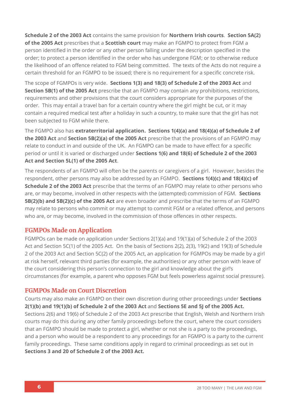**Schedule 2 of the 2003 Act** contains the same provision for **Northern Irish courts**. **Section 5A(2) of the 2005 Act** prescribes that a **Scottish court** may make an FGMPO to protect from FGM a person identified in the order or any other person falling under the description specified in the order; to protect a person identified in the order who has undergone FGM; or to otherwise reduce the likelihood of an offence related to FGM being committed. The texts of the Acts do not require a certain threshold for an FGMPO to be issued; there is no requirement for a specific concrete risk.

The scope of FGMPOs is very wide. **Sections 1(3) and 18(3) of Schedule 2 of the 2003 Act** and **Section 5B(1) of the 2005 Act** prescribe that an FGMPO may contain any prohibitions, restrictions, requirements and other provisions that the court considers appropriate for the purposes of the order. This may entail a travel ban for a certain country where the girl might be cut, or it may contain a required medical test after a holiday in such a country, to make sure that the girl has not been subjected to FGM while there.

The FGMPO also has **extraterritorial application. Sections 1(4)(a) and 18(4)(a) of Schedule 2 of the 2003 Act** and **Section 5B(2)(a) of the 2005 Act** prescribe that the provisions of an FGMPO may relate to conduct in and outside of the UK. An FGMPO can be made to have effect for a specific period or until it is varied or discharged under **Sections 1(6) and 18(6) of Schedule 2 of the 2003 Act and Section 5L(1) of the 2005 Act**.

The respondents of an FGMPO will often be the parents or caregivers of a girl. However, besides the respondent, other persons may also be addressed by an FGMPO. **Sections 1(4)(c) and 18(4)(c) of Schedule 2 of the 2003 Act** prescribe that the terms of an FGMPO may relate to other persons who are, or may become, involved in other respects with the (attempted) commission of FGM. **Sections 5B(2)(b) and 5B(2)(c) of the 2005 Act** are even broader and prescribe that the terms of an FGMPO may relate to persons who commit or may attempt to commit FGM or a related offence, and persons who are, or may become, involved in the commission of those offences in other respects.

## **FGMPOs Made on Application**

FGMPOs can be made on application under Sections 2(1)(a) and 19(1)(a) of Schedule 2 of the 2003 Act and Section 5C(1) of the 2005 Act. On the basis of Sections 2(2), 2(3), 19(2) and 19(3) of Schedule 2 of the 2003 Act and Section 5C(2) of the 2005 Act, an application for FGMPOs may be made by a girl at risk herself, relevant third parties (for example, the authorities) or any other person with leave of the court considering this person's connection to the girl and knowledge about the girl's circumstances (for example, a parent who opposes FGM but feels powerless against social pressure).

#### **FGMPOs Made on Court Discretion**

Courts may also make an FGMPO on their own discretion during other proceedings under **Sections 2(1)(b) and 19(1)(b) of Schedule 2 of the 2003 Act** and **Sections 5E and 5J of the 2005 Act.** Sections 2(6) and 19(6) of Schedule 2 of the 2003 Act prescribe that English, Welsh and Northern Irish courts may do this during any other family proceedings before the court, where the court considers that an FGMPO should be made to protect a girl, whether or not she is a party to the proceedings, and a person who would be a respondent to any proceedings for an FGMPO is a party to the current family proceedings. These same conditions apply in regard to criminal proceedings as set out in **Sections 3 and 20 of Schedule 2 of the 2003 Act.**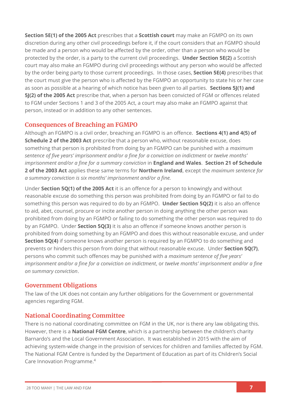**Section 5E(1) of the 2005 Act** prescribes that a **Scottish court** may make an FGMPO on its own discretion during any other civil proceedings before it, if the court considers that an FGMPO should be made and a person who would be affected by the order, other than a person who would be protected by the order, is a party to the current civil proceedings. **Under Section 5E(2)** a Scottish court may also make an FGMPO during civil proceedings without any person who would be affected by the order being party to those current proceedings. In those cases, **Section 5E(4)** prescribes that the court must give the person who is affected by the FGMPO an opportunity to state his or her case as soon as possible at a hearing of which notice has been given to all parties. **Sections 5J(1) and 5J(2) of the 2005 Act** prescribe that, when a person has been convicted of FGM or offences related to FGM under Sections 1 and 3 of the 2005 Act, a court may also make an FGMPO against that person, instead or in addition to any other sentences.

## **Consequences of Breaching an FGMPO**

Although an FGMPO is a civil order, breaching an FGMPO is an offence. **Sections 4(1) and 4(5) of Schedule 2 of the 2003 Act** prescribe that a person who, without reasonable excuse, does something that person is prohibited from doing by an FGMPO can be punished with a *maximum sentence of five years' imprisonment and/or a fine for a conviction on indictment* or *twelve months' imprisonment and/or a fine for a summary conviction* in **England and Wales**. **Section 21 of Schedule 2 of the 2003 Act** applies these same terms for **Northern Ireland**, except the *maximum sentence for a summary conviction is six months' imprisonment and/or a fine.*

Under **Section 5Q(1) of the 2005 Act** it is an offence for a person to knowingly and without reasonable excuse do something this person was prohibited from doing by an FGMPO or fail to do something this person was required to do by an FGMPO. **Under Section 5Q(2)** it is also an offence to aid, abet, counsel, procure or incite another person in doing anything the other person was prohibited from doing by an FGMPO or failing to do something the other person was required to do by an FGMPO. Under **Section 5Q(3)** it is also an offence if someone knows another person is prohibited from doing something by an FGMPO and does this without reasonable excuse, and under **Section 5Q(4)** if someone knows another person is required by an FGMPO to do something and prevents or hinders this person from doing that without reasonable excuse. Under **Section 5Q(7)**, persons who commit such offences may be punished with a *maximum sentence of five years' imprisonment and/or a fine for a conviction on indictment*, or *twelve months' imprisonment and/or a fine on summary conviction*.

## **Government Obligations**

The law of the UK does not contain any further obligations for the Government or governmental agencies regarding FGM.

# **National Coordinating Committee**

There is no national coordinating committee on FGM in the UK, nor is there any law obligating this. However, there is a **National FGM Centre**, which is a partnership between the children's charity Barnardo's and the Local Government Association. It was established in 2015 with the aim of achieving system-wide change in the provision of services for children and families affected by FGM. The National FGM Centre is funded by the Department of Education as part of its Children's Social Care Innovation Programme. 4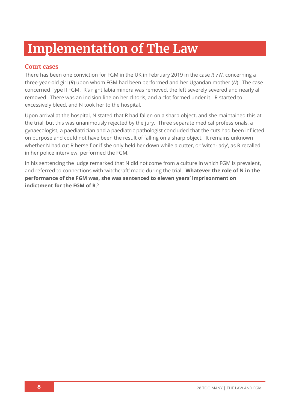# **Implementation of The Law**

# **Court cases**

There has been one conviction for FGM in the UK in February 2019 in the case *R v N*, concerning a three-year-old girl (*R*) upon whom FGM had been performed and her Ugandan mother (*N*). The case concerned Type II FGM. R's right labia minora was removed, the left severely severed and nearly all removed. There was an incision line on her clitoris, and a clot formed under it. R started to excessively bleed, and N took her to the hospital.

Upon arrival at the hospital, N stated that R had fallen on a sharp object, and she maintained this at the trial, but this was unanimously rejected by the jury. Three separate medical professionals, a gynaecologist, a paediatrician and a paediatric pathologist concluded that the cuts had been inflicted on purpose and could not have been the result of falling on a sharp object. It remains unknown whether N had cut R herself or if she only held her down while a cutter, or 'witch-lady', as R recalled in her police interview, performed the FGM.

In his sentencing the judge remarked that N did not come from a culture in which FGM is prevalent, and referred to connections with 'witchcraft' made during the trial. **Whatever the role of N in the performance of the FGM was, she was sentenced to eleven years' imprisonment on indictment for the FGM of R**. 5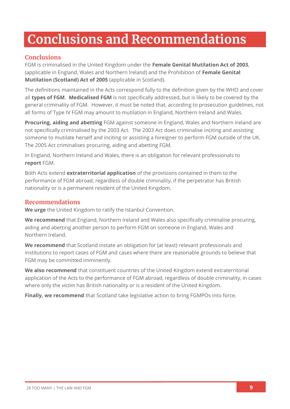# **Conclusions and Recommendations**

# **Conclusions**

FGM is criminalised in the United Kingdom under the **Female Genital Mutilation Act of 2003**, (applicable in England, Wales and Northern Ireland) and the Prohibition of **Female Genital Mutilation (Scotland) Act of 2005** (applicable in Scotland).

The definitions maintained in the Acts correspond fully to the definition given by the WHO and cover all **types of FGM**. **Medicalised FGM** is not specifically addressed, but is likely to be covered by the general criminality of FGM. However, it must be noted that, according to prosecution guidelines, not all forms of Type IV FGM may amount to mutilation in England, Northern Ireland and Wales.

**Procuring, aiding and abetting** FGM against someone in England, Wales and Northern Ireland are not specifically criminalised by the 2003 Act. The 2003 Act does criminalise inciting and assisting someone to mutilate herself and inciting or assisting a foreigner to perform FGM outside of the UK. The 2005 Act criminalises procuring, aiding and abetting FGM.

In England, Northern Ireland and Wales, there is an obligation for relevant professionals to **report** FGM.

Both Acts extend **extraterritorial application** of the provisions contained in them to the performance of FGM abroad, regardless of double criminality, if the perpetrator has British nationality or is a permanent resident of the United Kingdom.

## **Recommendations**

**We urge** the United Kingdom to ratify the Istanbul Convention.

**We recommend** that England, Northern Ireland and Wales also specifically criminalise procuring, aiding and abetting another person to perform FGM on someone in England, Wales and Northern Ireland.

**We recommend** that Scotland instate an obligation for (at least) relevant professionals and institutions to report cases of FGM and cases where there are reasonable grounds to believe that FGM may be committed imminently.

**We also recommend** that constituent countries of the United Kingdom extend extraterritorial application of the Acts to the performance of FGM abroad, regardless of double criminality, in cases where only the *victim* has British nationality or is a resident of the United Kingdom.

**Finally, we recommend** that Scotland take legislative action to bring FGMPOs into force.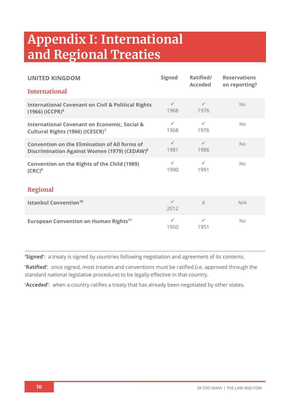# **Appendix I: International and Regional Treaties**

| <b>UNITED KINGDOM</b>                                                                                            | <b>Signed</b>        | Ratified/<br><b>Acceded</b> | <b>Reservations</b><br>on reporting? |  |  |
|------------------------------------------------------------------------------------------------------------------|----------------------|-----------------------------|--------------------------------------|--|--|
| <b>International</b>                                                                                             |                      |                             |                                      |  |  |
| <b>International Covenant on Civil &amp; Political Rights</b><br>$(1966)$ (ICCPR) <sup>6</sup>                   | $\checkmark$<br>1968 | $\checkmark$<br>1976        | No                                   |  |  |
| <b>International Covenant on Economic, Social &amp;</b><br>Cultural Rights (1966) (ICESCR) <sup>7</sup>          | $\checkmark$<br>1968 | $\checkmark$<br>1976        | No                                   |  |  |
| <b>Convention on the Elimination of All forms of</b><br>Discrimination Against Women (1979) (CEDAW) <sup>8</sup> | $\checkmark$<br>1981 | $\checkmark$<br>1986        | <b>No</b>                            |  |  |
| <b>Convention on the Rights of the Child (1989)</b><br>$(CRC)^9$                                                 | $\checkmark$<br>1990 | $\checkmark$<br>1991        | No                                   |  |  |
| <b>Regional</b>                                                                                                  |                      |                             |                                      |  |  |
| <b>Istanbul Convention<sup>10</sup></b>                                                                          | $\checkmark$<br>2012 | $\times$                    | N/A                                  |  |  |
| European Convention on Human Rights <sup>11</sup>                                                                | $\checkmark$<br>1950 | $\checkmark$<br>1951        | No                                   |  |  |

**'Signed'**: a treaty is signed by countries following negotiation and agreement of its contents.

**'Ratified'**: once signed, most treaties and conventions must be ratified (i.e. approved through the standard national legislative procedure) to be legally effective in that country.

**'Acceded'**: when a country ratifies a treaty that has already been negotiated by other states.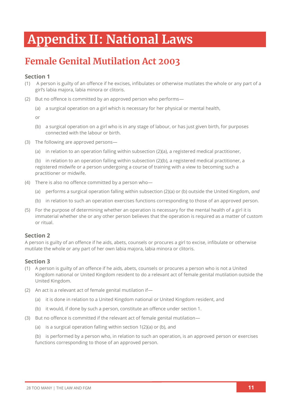# **Appendix II: National Laws**

# **Female Genital Mutilation Act 2003**

#### **Section 1**

- (1) A person is guilty of an offence if he excises, infibulates or otherwise mutilates the whole or any part of a girl's labia majora, labia minora or clitoris.
- (2) But no offence is committed by an approved person who performs—
	- (a) a surgical operation on a girl which is necessary for her physical or mental health,

or

- (b) a surgical operation on a girl who is in any stage of labour, or has just given birth, for purposes connected with the labour or birth.
- (3) The following are approved persons—
	- (a) in relation to an operation falling within subsection (2)(a), a registered medical practitioner,

(b) in relation to an operation falling within subsection (2)(b), a registered medical practitioner, a registered midwife or a person undergoing a course of training with a view to becoming such a practitioner or midwife.

- (4) There is also no offence committed by a person who—
	- (a) performs a surgical operation falling within subsection (2)(a) or (b) outside the United Kingdom, *and*
	- (b) in relation to such an operation exercises functions corresponding to those of an approved person.
- (5) For the purpose of determining whether an operation is necessary for the mental health of a girl it is immaterial whether she or any other person believes that the operation is required as a matter of custom or ritual.

#### **Section 2**

A person is guilty of an offence if he aids, abets, counsels or procures a girl to excise, infibulate or otherwise mutilate the whole or any part of her own labia majora, labia minora or clitoris.

#### **Section 3**

- (1) A person is guilty of an offence if he aids, abets, counsels or procures a person who is not a United Kingdom national or United Kingdom resident to do a relevant act of female genital mutilation outside the United Kingdom.
- (2) An act is a relevant act of female genital mutilation if—
	- (a) it is done in relation to a United Kingdom national or United Kingdom resident, and
	- (b) it would, if done by such a person, constitute an offence under section 1.
- (3) But no offence is committed if the relevant act of female genital mutilation—
	- (a) is a surgical operation falling within section 1(2)(a) or (b), and

(b) is performed by a person who, in relation to such an operation, is an approved person or exercises functions corresponding to those of an approved person.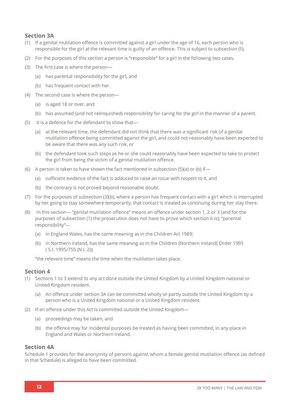#### **Section 3A**

- (1) If a genital mutilation offence is committed against a girl under the age of 16, each person who is responsible for the girl at the relevant time is guilty of an offence. This is subject to subsection (5).
- (2) For the purposes of this section a person is "responsible" for a girl in the following two cases.
- (3) The first case is where the person—
	- (a) has parental responsibility for the girl, and
	- (b) has frequent contact with her.
- (4) The second case is where the person—
	- (a) is aged 18 or over, and
	- (b) has assumed (and not relinquished) responsibility for caring for the girl in the manner of a parent.
- (5) It is a defence for the defendant to show that—
	- (a) at the relevant time, the defendant did not think that there was a significant risk of a genital mutilation offence being committed against the girl, and could not reasonably have been expected to be aware that there was any such risk, or
	- (b) the defendant took such steps as he or she could reasonably have been expected to take to protect the girl from being the victim of a genital mutilation offence.
- (6) A person is taken to have shown the fact mentioned in subsection (5)(a) or (b) if—
	- (a) sufficient evidence of the fact is adduced to raise an issue with respect to it, and
	- (b) the contrary is not proved beyond reasonable doubt.
- (7) For the purposes of subsection (3)(b), where a person has frequent contact with a girl which is interrupted by her going to stay somewhere temporarily, that contact is treated as continuing during her stay there.
- (8) In this section— "genital mutilation offence" means an offence under section 1, 2 or 3 (and for the purposes of subsection (1) the prosecution does not have to prove which section it is); "parental responsibility"—
	- (a) in England Wales, has the same meaning as in the Children Act 1989;
	- (b) in Northern Ireland, has the same meaning as in the Children (Northern Ireland) Order 1995 ( S.I. 1995/755 (N.I. 2));

"the relevant time" means the time when the mutilation takes place.

#### **Section 4**

- (1) Sections 1 to 3 extend to any act done outside the United Kingdom by a United Kingdom national or United Kingdom resident.
	- (a) An offence under section 3A can be committed wholly or partly outside the United Kingdom by a person who is a United Kingdom national or a United Kingdom resident.
- (2) If an offence under this Act is committed outside the United Kingdom—
	- (a) proceedings may be taken, and
	- (b) the offence may for incidental purposes be treated as having been committed, in any place in England and Wales or Northern Ireland.

#### **Section 4A**

Schedule 1 provides for the anonymity of persons against whom a female genital mutilation offence (as defined in that Schedule) is alleged to have been committed.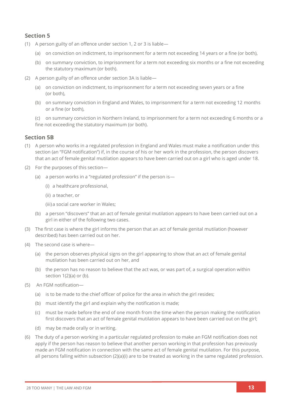- (1) A person guilty of an offence under section 1, 2 or 3 is liable—
	- (a) on conviction on indictment, to imprisonment for a term not exceeding 14 years or a fine (or both),
	- (b) on summary conviction, to imprisonment for a term not exceeding six months or a fine not exceeding the statutory maximum (or both).
- (2) A person guilty of an offence under section 3A is liable—
	- (a) on conviction on indictment, to imprisonment for a term not exceeding seven years or a fine (or both),
	- (b) on summary conviction in England and Wales, to imprisonment for a term not exceeding 12 months or a fine (or both),

(c) on summary conviction in Northern Ireland, to imprisonment for a term not exceeding 6 months or a fine not exceeding the statutory maximum (or both).

#### **Section 5B**

- (1) A person who works in a regulated profession in England and Wales must make a notification under this section (an "FGM notification") if, in the course of his or her work in the profession, the person discovers that an act of female genital mutilation appears to have been carried out on a girl who is aged under 18.
- (2) For the purposes of this section—
	- (a) a person works in a "regulated profession" if the person is—
		- (i) a healthcare professional,
		- (ii) a teacher, or

(iii)a social care worker in Wales;

- (b) a person "discovers" that an act of female genital mutilation appears to have been carried out on a girl in either of the following two cases.
- (3) The first case is where the girl informs the person that an act of female genital mutilation (however described) has been carried out on her.
- (4) The second case is where—
	- (a) the person observes physical signs on the girl appearing to show that an act of female genital mutilation has been carried out on her, and
	- (b) the person has no reason to believe that the act was, or was part of, a surgical operation within section  $1(2)(a)$  or (b).
- (5) An FGM notification—
	- (a) is to be made to the chief officer of police for the area in which the girl resides;
	- (b) must identify the girl and explain why the notification is made;
	- (c) must be made before the end of one month from the time when the person making the notification first discovers that an act of female genital mutilation appears to have been carried out on the girl;
	- (d) may be made orally or in writing.
- (6) The duty of a person working in a particular regulated profession to make an FGM notification does not apply if the person has reason to believe that another person working in that profession has previously made an FGM notification in connection with the same act of female genital mutilation. For this purpose, all persons falling within subsection (2)(a)(i) are to be treated as working in the same regulated profession.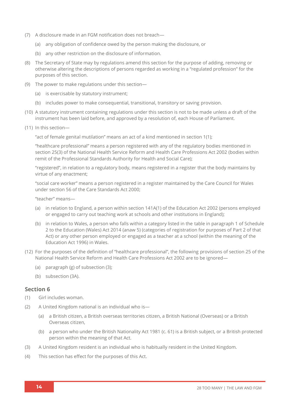- (7) A disclosure made in an FGM notification does not breach—
	- (a) any obligation of confidence owed by the person making the disclosure, or
	- (b) any other restriction on the disclosure of information.
- (8) The Secretary of State may by regulations amend this section for the purpose of adding, removing or otherwise altering the descriptions of persons regarded as working in a "regulated profession" for the purposes of this section.
- (9) The power to make regulations under this section—
	- (a) is exercisable by statutory instrument;
	- (b) includes power to make consequential, transitional, transitory or saving provision.
- (10) A statutory instrument containing regulations under this section is not to be made unless a draft of the instrument has been laid before, and approved by a resolution of, each House of Parliament.
- (11) In this section—

"act of female genital mutilation" means an act of a kind mentioned in section 1(1);

"healthcare professional" means a person registered with any of the regulatory bodies mentioned in section 25(3) of the National Health Service Reform and Health Care Professions Act 2002 (bodies within remit of the Professional Standards Authority for Health and Social Care);

"registered", in relation to a regulatory body, means registered in a register that the body maintains by virtue of any enactment;

"social care worker" means a person registered in a register maintained by the Care Council for Wales under section 56 of the Care Standards Act 2000;

"teacher" means—

- (a) in relation to England, a person within section 141A(1) of the Education Act 2002 (persons employed or engaged to carry out teaching work at schools and other institutions in England);
- (b) in relation to Wales, a person who falls within a category listed in the table in paragraph 1 of Schedule 2 to the Education (Wales) Act 2014 (anaw 5) (categories of registration for purposes of Part 2 of that Act) or any other person employed or engaged as a teacher at a school (within the meaning of the Education Act 1996) in Wales.
- (12) For the purposes of the definition of "healthcare professional", the following provisions of section 25 of the National Health Service Reform and Health Care Professions Act 2002 are to be ignored—
	- (a) paragraph (g) of subsection (3);
	- (b) subsection (3A).

- (1) Girl includes woman.
- (2) A United Kingdom national is an individual who is—
	- (a) a British citizen, a British overseas territories citizen, a British National (Overseas) or a British Overseas citizen,
	- (b) a person who under the British Nationality Act 1981 (c. 61) is a British subject, or a British protected person within the meaning of that Act.
- (3) A United Kingdom resident is an individual who is habitually resident in the United Kingdom.
- (4) This section has effect for the purposes of this Act.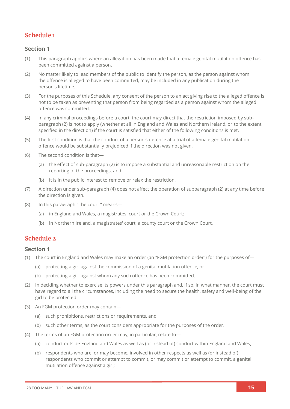# **Schedule 1**

#### **Section 1**

- (1) This paragraph applies where an allegation has been made that a female genital mutilation offence has been committed against a person.
- (2) No matter likely to lead members of the public to identify the person, as the person against whom the offence is alleged to have been committed, may be included in any publication during the person's lifetime.
- (3) For the purposes of this Schedule, any consent of the person to an act giving rise to the alleged offence is not to be taken as preventing that person from being regarded as a person against whom the alleged offence was committed.
- (4) In any criminal proceedings before a court, the court may direct that the restriction imposed by subparagraph (2) is not to apply (whether at all in England and Wales and Northern Ireland, or to the extent specified in the direction) if the court is satisfied that either of the following conditions is met.
- (5) The first condition is that the conduct of a person's defence at a trial of a female genital mutilation offence would be substantially prejudiced if the direction was not given.
- (6) The second condition is that—
	- (a) the effect of sub-paragraph (2) is to impose a substantial and unreasonable restriction on the reporting of the proceedings, and
	- (b) it is in the public interest to remove or relax the restriction.
- (7) A direction under sub-paragraph (4) does not affect the operation of subparagraph (2) at any time before the direction is given.
- (8) In this paragraph " the court " means—
	- (a) in England and Wales, a magistrates' court or the Crown Court;
	- (b) in Northern Ireland, a magistrates' court, a county court or the Crown Court.

#### **Schedule 2**

- (1) The court in England and Wales may make an order (an "FGM protection order") for the purposes of—
	- (a) protecting a girl against the commission of a genital mutilation offence, or
	- (b) protecting a girl against whom any such offence has been committed.
- (2) In deciding whether to exercise its powers under this paragraph and, if so, in what manner, the court must have regard to all the circumstances, including the need to secure the health, safety and well-being of the girl to be protected.
- (3) An FGM protection order may contain—
	- (a) such prohibitions, restrictions or requirements, and
	- (b) such other terms, as the court considers appropriate for the purposes of the order.
- (4) The terms of an FGM protection order may, in particular, relate to—
	- (a) conduct outside England and Wales as well as (or instead of) conduct within England and Wales;
	- (b) respondents who are, or may become, involved in other respects as well as (or instead of) respondents who commit or attempt to commit, or may commit or attempt to commit, a genital mutilation offence against a girl;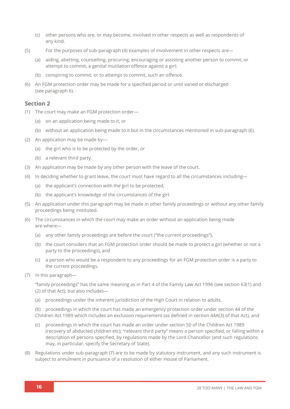- (c) other persons who are, or may become, involved in other respects as well as respondents of any kind.
- (5) For the purposes of sub-paragraph (4) examples of involvement in other respects are—
	- (a) aiding, abetting, counselling, procuring, encouraging or assisting another person to commit, or attempt to commit, a genital mutilation offence against a girl;
	- (b) conspiring to commit, or to attempt to commit, such an offence.
- (6) An FGM protection order may be made for a specified period or until varied or discharged (see paragraph 6).

- (1) The court may make an FGM protection order—
	- (a) on an application being made to it, or
	- (b) without an application being made to it but in the circumstances mentioned in sub-paragraph (6).
- (2) An application may be made by—
	- (a) the girl who is to be protected by the order, or
	- (b) a relevant third party.
- (3) An application may be made by any other person with the leave of the court.
- (4) In deciding whether to grant leave, the court must have regard to all the circumstances including—
	- (a) the applicant's connection with the girl to be protected;
	- (b) the applicant's knowledge of the circumstances of the girl.
- (5) An application under this paragraph may be made in other family proceedings or without any other family proceedings being instituted.
- (6) The circumstances in which the court may make an order without an application being made are where—
	- (a) any other family proceedings are before the court ("the current proceedings"),
	- (b) the court considers that an FGM protection order should be made to protect a girl (whether or not a party to the proceedings), and
	- (c) a person who would be a respondent to any proceedings for an FGM protection order is a party to the current proceedings.
- (7) In this paragraph—

"family proceedings" has the same meaning as in Part 4 of the Family Law Act 1996 (see section 63(1) and (2) of that Act), but also includes—

(a) proceedings under the inherent jurisdiction of the High Court in relation to adults,

(b) proceedings in which the court has made an emergency protection order under section 44 of the Children Act 1989 which includes an exclusion requirement (as defined in section 44A(3) of that Act), and

- (c) proceedings in which the court has made an order under section 50 of the Children Act 1989 (recovery of abducted children etc); "relevant third party" means a person specified, or falling within a description of persons specified, by regulations made by the Lord Chancellor (and such regulations may, in particular, specify the Secretary of State).
- (8) Regulations under sub-paragraph (7) are to be made by statutory instrument, and any such instrument is subject to annulment in pursuance of a resolution of either House of Parliament.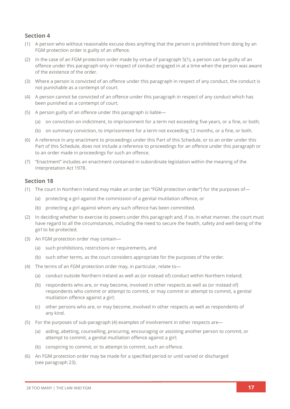- (1) A person who without reasonable excuse does anything that the person is prohibited from doing by an FGM protection order is guilty of an offence.
- (2) In the case of an FGM protection order made by virtue of paragraph 5(1), a person can be guilty of an offence under this paragraph only in respect of conduct engaged in at a time when the person was aware of the existence of the order.
- (3) Where a person is convicted of an offence under this paragraph in respect of any conduct, the conduct is not punishable as a contempt of court.
- (4) A person cannot be convicted of an offence under this paragraph in respect of any conduct which has been punished as a contempt of court.
- (5) A person guilty of an offence under this paragraph is liable—
	- (a) on conviction on indictment, to imprisonment for a term not exceeding five years, or a fine, or both;
	- (b) on summary conviction, to imprisonment for a term not exceeding 12 months, or a fine, or both.
- (6) A reference in any enactment to proceedings under this Part of this Schedule, or to an order under this Part of this Schedule, does not include a reference to proceedings for an offence under this paragraph or to an order made in proceedings for such an offence.
- (7) "Enactment" includes an enactment contained in subordinate legislation within the meaning of the Interpretation Act 1978.

- (1) The court in Northern Ireland may make an order (an "FGM protection order") for the purposes of—
	- (a) protecting a girl against the commission of a genital mutilation offence, or
	- (b) protecting a girl against whom any such offence has been committed.
- (2) In deciding whether to exercise its powers under this paragraph and, if so, in what manner, the court must have regard to all the circumstances, including the need to secure the health, safety and well-being of the girl to be protected.
- (3) An FGM protection order may contain—
	- (a) such prohibitions, restrictions or requirements, and
	- (b) such other terms, as the court considers appropriate for the purposes of the order.
- (4) The terms of an FGM protection order may, in particular, relate to—
	- (a) conduct outside Northern Ireland as well as (or instead of) conduct within Northern Ireland;
	- (b) respondents who are, or may become, involved in other respects as well as (or instead of) respondents who commit or attempt to commit, or may commit or attempt to commit, a genital mutilation offence against a girl;
	- (c) other persons who are, or may become, involved in other respects as well as respondents of any kind.
- (5) For the purposes of sub-paragraph (4) examples of involvement in other respects are—
	- (a) aiding, abetting, counselling, procuring, encouraging or assisting another person to commit, or attempt to commit, a genital mutilation offence against a girl;
	- (b) conspiring to commit, or to attempt to commit, such an offence.
- (6) An FGM protection order may be made for a specified period or until varied or discharged (see paragraph 23).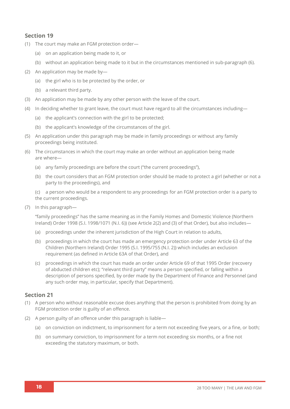- (1) The court may make an FGM protection order—
	- (a) on an application being made to it, or
	- (b) without an application being made to it but in the circumstances mentioned in sub-paragraph (6).
- (2) An application may be made by—
	- (a) the girl who is to be protected by the order, or
	- (b) a relevant third party.
- (3) An application may be made by any other person with the leave of the court.
- (4) In deciding whether to grant leave, the court must have regard to all the circumstances including—
	- (a) the applicant's connection with the girl to be protected;
	- (b) the applicant's knowledge of the circumstances of the girl.
- (5) An application under this paragraph may be made in family proceedings or without any family proceedings being instituted.
- (6) The circumstances in which the court may make an order without an application being made are where—
	- (a) any family proceedings are before the court ("the current proceedings"),
	- (b) the court considers that an FGM protection order should be made to protect a girl (whether or not a party to the proceedings), and

(c) a person who would be a respondent to any proceedings for an FGM protection order is a party to the current proceedings.

(7) In this paragraph—

"family proceedings" has the same meaning as in the Family Homes and Domestic Violence (Northern Ireland) Order 1998 (S.I. 1998/1071 (N.I. 6)) (see Article 2(2) and (3) of that Order), but also includes—

- (a) proceedings under the inherent jurisdiction of the High Court in relation to adults,
- (b) proceedings in which the court has made an emergency protection order under Article 63 of the Children (Northern Ireland) Order 1995 (S.I. 1995/755 (N.I. 2)) which includes an exclusion requirement (as defined in Article 63A of that Order), and
- (c) proceedings in which the court has made an order under Article 69 of that 1995 Order (recovery of abducted children etc); "relevant third party" means a person specified, or falling within a description of persons specified, by order made by the Department of Finance and Personnel (and any such order may, in particular, specify that Department).

- (1) A person who without reasonable excuse does anything that the person is prohibited from doing by an FGM protection order is guilty of an offence.
- (2) A person guilty of an offence under this paragraph is liable—
	- (a) on conviction on indictment, to imprisonment for a term not exceeding five years, or a fine, or both;
	- (b) on summary conviction, to imprisonment for a term not exceeding six months, or a fine not exceeding the statutory maximum, or both.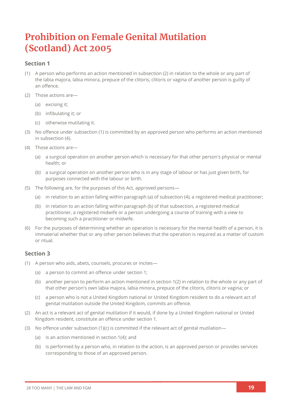# **Prohibition on Female Genital Mutilation (Scotland) Act 2005**

#### **Section 1**

- (1) A person who performs an action mentioned in subsection (2) in relation to the whole or any part of the labia majora, labia minora, prepuce of the clitoris, clitoris or vagina of another person is guilty of an offence.
- (2) Those actions are—
	- (a) excising it;
	- (b) infibulating it; or
	- (c) otherwise mutilating it.
- (3) No offence under subsection (1) is committed by an approved person who performs an action mentioned in subsection (4).
- (4) Those actions are—
	- (a) a surgical operation on another person which is necessary for that other person's physical or mental health; or
	- (b) a surgical operation on another person who is in any stage of labour or has just given birth, for purposes connected with the labour or birth.
- (5) The following are, for the purposes of this Act, approved persons—
	- (a) in relation to an action falling within paragraph (a) of subsection (4), a registered medical practitioner;
	- (b) in relation to an action falling within paragraph (b) of that subsection, a registered medical practitioner, a registered midwife or a person undergoing a course of training with a view to becoming such a practitioner or midwife.
- (6) For the purposes of determining whether an operation is necessary for the mental health of a person, it is immaterial whether that or any other person believes that the operation is required as a matter of custom or ritual.

- (1) A person who aids, abets, counsels, procures or incites—
	- (a) a person to commit an offence under section 1;
	- (b) another person to perform an action mentioned in section 1(2) in relation to the whole or any part of that other person's own labia majora, labia minora, prepuce of the clitoris, clitoris or vagina; or
	- (c) a person who is not a United Kingdom national or United Kingdom resident to do a relevant act of genital mutilation outside the United Kingdom, commits an offence.
- (2) An act is a relevant act of genital mutilation if it would, if done by a United Kingdom national or United Kingdom resident, constitute an offence under section 1.
- (3) No offence under subsection  $(1)(c)$  is committed if the relevant act of genital mutilation—
	- (a) is an action mentioned in section 1(4); and
	- (b) is performed by a person who, in relation to the action, is an approved person or provides services corresponding to those of an approved person.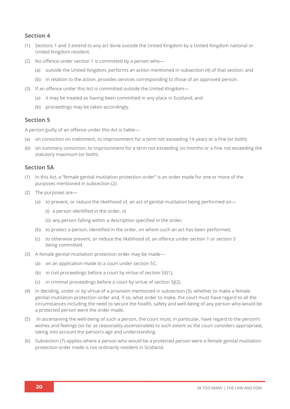- (1) Sections 1 and 3 extend to any act done outside the United Kingdom by a United Kingdom national or United Kingdom resident.
- (2) No offence under section 1 is committed by a person who—
	- (a) outside the United Kingdom, performs an action mentioned in subsection (4) of that section; and
	- (b) in relation to the action, provides services corresponding to those of an approved person.
- (3) If an offence under this Act is committed outside the United Kingdom—
	- (a) it may be treated as having been committed in any place in Scotland; and
	- (b) proceedings may be taken accordingly.

#### **Section 5**

A person guilty of an offence under this Act is liable—

- (a) on conviction on indictment, to imprisonment for a term not exceeding 14 years or a fine (or both);
- (b) on summary conviction, to imprisonment for a term not exceeding six months or a fine not exceeding the statutory maximum (or both).

#### **Section 5A**

- (1) In this Act, a "female genital mutilation protection order" is an order made for one or more of the purposes mentioned in subsection (2).
- (2) The purposes are—
	- (a) to prevent, or reduce the likelihood of, an act of genital mutilation being performed on—
		- (i) a person identified in the order, or
		- (ii) any person falling within a description specified in the order,
	- (b) to protect a person, identified in the order, on whom such an act has been performed,
	- (c) to otherwise prevent, or reduce the likelihood of, an offence under section 1 or section 3 being committed.
- (3) A female genital mutilation protection order may be made—
	- (a) on an application made to a court under section 5C,
	- (b) in civil proceedings before a court by virtue of section 5E(1),
	- (c) in criminal proceedings before a court by virtue of section 5J(2).
- (4) In deciding, under or by virtue of a provision mentioned in subsection (3), whether to make a female genital mutilation protection order and, if so, what order to make, the court must have regard to all the circumstances including the need to secure the health, safety and well-being of any person who would be a protected person were the order made.
- (5) In ascertaining the well-being of such a person, the court must, in particular, have regard to the person's wishes and feelings (so far as reasonably ascertainable) to such extent as the court considers appropriate, taking into account the person's age and understanding.
- (6) Subsection (7) applies where a person who would be a protected person were a female genital mutilation protection order made is not ordinarily resident in Scotland.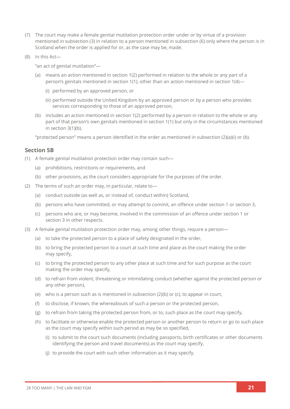- (7) The court may make a female genital mutilation protection order under or by virtue of a provision mentioned in subsection (3) in relation to a person mentioned in subsection (6) only where the person is in Scotland when the order is applied for or, as the case may be, made.
- (8) In this Act—

"an act of genital mutilation"—

- (a) means an action mentioned in section 1(2) performed in relation to the whole or any part of a person's genitals mentioned in section 1(1), other than an action mentioned in section 1(4)—
	- (i) performed by an approved person, or
	- (ii) performed outside the United Kingdom by an approved person or by a person who provides services corresponding to those of an approved person,
- (b) includes an action mentioned in section 1(2) performed by a person in relation to the whole or any part of that person's own genitals mentioned in section 1(1) but only in the circumstances mentioned in section 3(1)(b),

"protected person" means a person identified in the order as mentioned in subsection (2)(a)(i) or (b).

#### **Section 5B**

- (1) A female genital mutilation protection order may contain such—
	- (a) prohibitions, restrictions or requirements, and
	- (b) other provisions, as the court considers appropriate for the purposes of the order.
- (2) The terms of such an order may, in particular, relate to—
	- (a) conduct outside (as well as, or instead of, conduct within) Scotland,
	- (b) persons who have committed, or may attempt to commit, an offence under section 1 or section 3,
	- (c) persons who are, or may become, involved in the commission of an offence under section 1 or section 3 in other respects.
- (3) A female genital mutilation protection order may, among other things, require a person—
	- (a) to take the protected person to a place of safety designated in the order,
	- (b) to bring the protected person to a court at such time and place as the court making the order may specify,
	- (c) to bring the protected person to any other place at such time and for such purpose as the court making the order may specify,
	- (d) to refrain from violent, threatening or intimidating conduct (whether against the protected person or any other person),
	- (e) who is a person such as is mentioned in subsection  $(2)(b)$  or  $(c)$ , to appear in court,
	- (f) to disclose, if known, the whereabouts of such a person or the protected person,
	- (g) to refrain from taking the protected person from, or to, such place as the court may specify,
	- (h) to facilitate or otherwise enable the protected person or another person to return or go to such place as the court may specify within such period as may be so specified,
		- (i) to submit to the court such documents (including passports, birth certificates or other documents identifying the person and travel documents) as the court may specify,
		- (j) to provide the court with such other information as it may specify.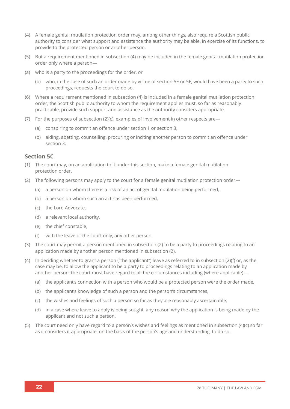- (4) A female genital mutilation protection order may, among other things, also require a Scottish public authority to consider what support and assistance the authority may be able, in exercise of its functions, to provide to the protected person or another person.
- (5) But a requirement mentioned in subsection (4) may be included in the female genital mutilation protection order only where a person—
- (a) who is a party to the proceedings for the order, or
	- (b) who, in the case of such an order made by virtue of section 5E or 5F, would have been a party to such proceedings, requests the court to do so.
- (6) Where a requirement mentioned in subsection (4) is included in a female genital mutilation protection order, the Scottish public authority to whom the requirement applies must, so far as reasonably practicable, provide such support and assistance as the authority considers appropriate.
- (7) For the purposes of subsection (2)(c), examples of involvement in other respects are—
	- (a) conspiring to commit an offence under section 1 or section 3,
	- (b) aiding, abetting, counselling, procuring or inciting another person to commit an offence under section 3.

#### **Section 5C**

- (1) The court may, on an application to it under this section, make a female genital mutilation protection order.
- (2) The following persons may apply to the court for a female genital mutilation protection order—
	- (a) a person on whom there is a risk of an act of genital mutilation being performed,
	- (b) a person on whom such an act has been performed,
	- (c) the Lord Advocate,
	- (d) a relevant local authority,
	- (e) the chief constable,
	- (f) with the leave of the court only, any other person.
- (3) The court may permit a person mentioned in subsection (2) to be a party to proceedings relating to an application made by another person mentioned in subsection (2).
- (4) In deciding whether to grant a person ("the applicant") leave as referred to in subsection (2)(f) or, as the case may be, to allow the applicant to be a party to proceedings relating to an application made by another person, the court must have regard to all the circumstances including (where applicable)—
	- (a) the applicant's connection with a person who would be a protected person were the order made,
	- (b) the applicant's knowledge of such a person and the person's circumstances,
	- (c) the wishes and feelings of such a person so far as they are reasonably ascertainable,
	- (d) in a case where leave to apply is being sought, any reason why the application is being made by the applicant and not such a person.
- (5) The court need only have regard to a person's wishes and feelings as mentioned in subsection (4)(c) so far as it considers it appropriate, on the basis of the person's age and understanding, to do so.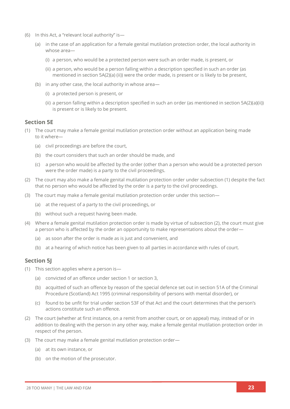- (6) In this Act, a "relevant local authority" is—
	- (a) in the case of an application for a female genital mutilation protection order, the local authority in whose area—
		- (i) a person, who would be a protected person were such an order made, is present, or
		- (ii) a person, who would be a person falling within a description specified in such an order (as mentioned in section 5A(2)(a) (ii)) were the order made, is present or is likely to be present,
	- (b) in any other case, the local authority in whose area—
		- (i) a protected person is present, or
		- (ii) a person falling within a description specified in such an order (as mentioned in section 5A(2)(a)(ii)) is present or is likely to be present.

#### **Section 5E**

- (1) The court may make a female genital mutilation protection order without an application being made to it where—
	- (a) civil proceedings are before the court,
	- (b) the court considers that such an order should be made, and
	- (c) a person who would be affected by the order (other than a person who would be a protected person were the order made) is a party to the civil proceedings.
- (2) The court may also make a female genital mutilation protection order under subsection (1) despite the fact that no person who would be affected by the order is a party to the civil proceedings.
- (3) The court may make a female genital mutilation protection order under this section—
	- (a) at the request of a party to the civil proceedings, or
	- (b) without such a request having been made.
- (4) Where a female genital mutilation protection order is made by virtue of subsection (2), the court must give a person who is affected by the order an opportunity to make representations about the order—
	- (a) as soon after the order is made as is just and convenient, and
	- (b) at a hearing of which notice has been given to all parties in accordance with rules of court.

#### **Section 5J**

- (1) This section applies where a person is—
	- (a) convicted of an offence under section 1 or section 3,
	- (b) acquitted of such an offence by reason of the special defence set out in section 51A of the Criminal Procedure (Scotland) Act 1995 (criminal responsibility of persons with mental disorder), or
	- (c) found to be unfit for trial under section 53F of that Act and the court determines that the person's actions constitute such an offence.
- (2) The court (whether at first instance, on a remit from another court, or on appeal) may, instead of or in addition to dealing with the person in any other way, make a female genital mutilation protection order in respect of the person.
- (3) The court may make a female genital mutilation protection order—
	- (a) at its own instance, or
	- (b) on the motion of the prosecutor.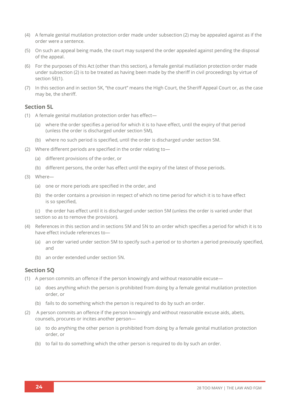- (4) A female genital mutilation protection order made under subsection (2) may be appealed against as if the order were a sentence.
- (5) On such an appeal being made, the court may suspend the order appealed against pending the disposal of the appeal.
- (6) For the purposes of this Act (other than this section), a female genital mutilation protection order made under subsection (2) is to be treated as having been made by the sheriff in civil proceedings by virtue of section 5E(1).
- (7) In this section and in section 5K, "the court" means the High Court, the Sheriff Appeal Court or, as the case may be, the sheriff.

#### **Section 5L**

- (1) A female genital mutilation protection order has effect—
	- (a) where the order specifies a period for which it is to have effect, until the expiry of that period (unless the order is discharged under section 5M),
	- (b) where no such period is specified, until the order is discharged under section 5M.
- (2) Where different periods are specified in the order relating to—
	- (a) different provisions of the order, or
	- (b) different persons, the order has effect until the expiry of the latest of those periods.
- (3) Where—
	- (a) one or more periods are specified in the order, and
	- (b) the order contains a provision in respect of which no time period for which it is to have effect is so specified,

(c) the order has effect until it is discharged under section 5M (unless the order is varied under that section so as to remove the provision).

- (4) References in this section and in sections 5M and 5N to an order which specifies a period for which it is to have effect include references to—
	- (a) an order varied under section 5M to specify such a period or to shorten a period previously specified, and
	- (b) an order extended under section 5N.

#### **Section 5Q**

- (1) A person commits an offence if the person knowingly and without reasonable excuse—
	- (a) does anything which the person is prohibited from doing by a female genital mutilation protection order, or
	- (b) fails to do something which the person is required to do by such an order.
- (2) A person commits an offence if the person knowingly and without reasonable excuse aids, abets, counsels, procures or incites another person—
	- (a) to do anything the other person is prohibited from doing by a female genital mutilation protection order, or
	- (b) to fail to do something which the other person is required to do by such an order.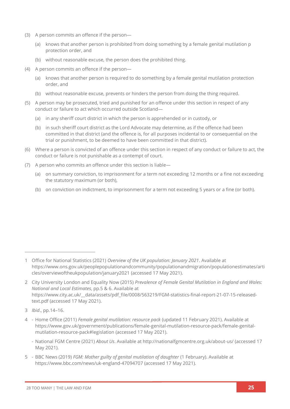- (3) A person commits an offence if the person—
	- (a) knows that another person is prohibited from doing something by a female genital mutilation p protection order, and
	- (b) without reasonable excuse, the person does the prohibited thing.
- (4) A person commits an offence if the person—
	- (a) knows that another person is required to do something by a female genital mutilation protection order, and
	- (b) without reasonable excuse, prevents or hinders the person from doing the thing required.
- (5) A person may be prosecuted, tried and punished for an offence under this section in respect of any conduct or failure to act which occurred outside Scotland—
	- (a) in any sheriff court district in which the person is apprehended or in custody, or
	- (b) in such sheriff court district as the Lord Advocate may determine, as if the offence had been committed in that district (and the offence is, for all purposes incidental to or consequential on the trial or punishment, to be deemed to have been committed in that district).
- (6) Where a person is convicted of an offence under this section in respect of any conduct or failure to act, the conduct or failure is not punishable as a contempt of court.
- (7) A person who commits an offence under this section is liable—
	- (a) on summary conviction, to imprisonment for a term not exceeding 12 months or a fine not exceeding the statutory maximum (or both),
	- (b) on conviction on indictment, to imprisonment for a term not exceeding 5 years or a fine (or both).

- 2 City University London and Equality Now (2015) *Prevalence of Female Genital Mutilation in England and Wales: National and Local Estimates*, pp.5 & 6. Available at [https://www.city.ac.uk/\\_\\_data/assets/pdf\\_file/0008/563219/FGM-statistics-final-report-21-07-15-released](https://www.city.ac.uk/__data/assets/pdf_file/0008/563219/FGM-statistics-final-report-21-07-15-released-text.pdf)[text.pdf](https://www.city.ac.uk/__data/assets/pdf_file/0008/563219/FGM-statistics-final-report-21-07-15-released-text.pdf) (accessed 17 May 2021).
- 3 *Ibid*., pp.14–16.
- 4 Home Office (2011) *Female genital mutilation: resource pack* (updated 11 February 2021). Available at [https://www.gov.uk/government/publications/female-genital-mutilation-resource-pack/female-genital](https://www.gov.uk/government/publications/female-genital-mutilation-resource-pack/female-genital-mutilation-resource-pack#legislation)[mutilation-resource-pack#legislation](https://www.gov.uk/government/publications/female-genital-mutilation-resource-pack/female-genital-mutilation-resource-pack#legislation) (accessed 17 May 2021).
	- National FGM Centre (2021) *About Us*. Available at<http://nationalfgmcentre.org.uk/about-us/> (accessed 17 May 2021).
- 5 BBC News (2019) *FGM: Mother guilty of genital mutilation of daughter* (1 February). Available at <https://www.bbc.com/news/uk-england-47094707> (accessed 17 May 2021).

<sup>1</sup> Office for National Statistics (2021) *Overview of the UK population: January 2021*. Available at [https://www.ons.gov.uk/peoplepopulationandcommunity/populationandmigration/populationestimates/arti](https://www.ons.gov.uk/peoplepopulationandcommunity/populationandmigration/populationestimates/articles/overviewoftheukpopulation/january2021) [cles/overviewoftheukpopulation/january2021](https://www.ons.gov.uk/peoplepopulationandcommunity/populationandmigration/populationestimates/articles/overviewoftheukpopulation/january2021) (accessed 17 May 2021).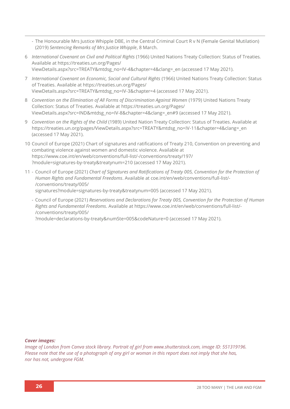- The Honourable Mrs Justice Whipple DBE, in the Central Criminal Court R v N (Female Genital Mutilation) (2019) *Sentencing Remarks of Mrs Justice Whipple*, 8 March.
- 6 *International Covenant on Civil and Political Rights* (1966) United Nations Treaty Collection: Status of Treaties*.* Available a[t https://treaties.un.org/Pages/](https://treaties.un.org/Pages/ViewDetails.aspx?src=TREATY&mtdsg_no=IV-4&chapter=4&clang=_en) [ViewDetails.aspx?src=TREATY&mtdsg\\_no=IV-4&chapter=4&clang=\\_en](https://treaties.un.org/Pages/ViewDetails.aspx?src=TREATY&mtdsg_no=IV-4&chapter=4&clang=_en) (accessed 17 May 2021).
- 7 *International Covenant on Economic, Social and Cultural Rights* (1966) United Nations Treaty Collection: Status of Treaties. Available at [https://treaties.un.org/Pages/](https://treaties.un.org/Pages/ViewDetails.aspx?src=TREATY&mtdsg_no=IV-3&chapter=4) [ViewDetails.aspx?src=TREATY&mtdsg\\_no=IV-3&chapter=4](https://treaties.un.org/Pages/ViewDetails.aspx?src=TREATY&mtdsg_no=IV-3&chapter=4) (accessed 17 May 2021).
- 8 *Convention on the Elimination of All Forms of Discrimination Against Women* (1979) United Nations Treaty Collection: Status of Treaties. Available at [https://treaties.un.org/Pages/](https://treaties.un.org/Pages/ViewDetails.aspx?src=IND&mtdsg_no=IV-8&chapter=4&clang=_en#9) [ViewDetails.aspx?src=IND&mtdsg\\_no=IV-8&chapter=4&clang=\\_en#9](https://treaties.un.org/Pages/ViewDetails.aspx?src=IND&mtdsg_no=IV-8&chapter=4&clang=_en#9) (accessed 17 May 2021).
- 9 *Convention on the Rights of the Child* (1989) United Nation Treaty Collection: Status of Treaties. Available at [https://treaties.un.org/pages/ViewDetails.aspx?src=TREATY&mtdsg\\_no=IV-11&chapter=4&clang=\\_en](https://treaties.un.org/pages/ViewDetails.aspx?src=TREATY&mtdsg_no=IV-11&chapter=4&clang=_en) (accessed 17 May 2021).
- 10 Council of Europe (2021) Chart of signatures and ratifications of Treaty 210, Convention on preventing and combating violence against women and domestic violence. Available at [https://www.coe.int/en/web/conventions/full-list/-/conventions/treaty/197/](https://www.coe.int/en/web/conventions/full-list/-/conventions/treaty/197/?module=signatures-by-treaty&treatynum=210) [?module=signatures-by-treaty&treatynum=210](https://www.coe.int/en/web/conventions/full-list/-/conventions/treaty/197/?module=signatures-by-treaty&treatynum=210) (accessed 17 May 2021).
- 11 Council of Europe (2021) *Chart of Signatures and Ratifications of Treaty 005, Convention for the Protection of Human Rights and Fundamental Freedoms*. Available a[t coe.int/en/web/conventions/full-list/-](file://///Users/seancallaghan/Downloads/coe.int/en/web/conventions/full-list/-/conventions/treaty/005/signatures%253fmodule=signatures-by-treaty&treatynum=005) [/conventions/treaty/005/](file://///Users/seancallaghan/Downloads/coe.int/en/web/conventions/full-list/-/conventions/treaty/005/signatures%253fmodule=signatures-by-treaty&treatynum=005) [signatures?module=signatures-by-treaty&treatynum=005](file://///Users/seancallaghan/Downloads/coe.int/en/web/conventions/full-list/-/conventions/treaty/005/signatures%253fmodule=signatures-by-treaty&treatynum=005) (accessed 17 May 2021).
	- Council of Europe (2021) *Reservations and Declarations for Treaty 005, Convention for the Protection of Human Rights and Fundamental Freedoms*. Available at [https://www.coe.int/en/web/conventions/full-list/-](https://www.coe.int/en/web/conventions/full-list/-/conventions/treaty/005/?module=declarations-by-treaty&numSte=005&codeNature=0) [/conventions/treaty/005/](https://www.coe.int/en/web/conventions/full-list/-/conventions/treaty/005/?module=declarations-by-treaty&numSte=005&codeNature=0)

[?module=declarations-by-treaty&numSte=005&codeNature=0](https://www.coe.int/en/web/conventions/full-list/-/conventions/treaty/005/?module=declarations-by-treaty&numSte=005&codeNature=0) (accessed 17 May 2021).

#### *Cover images:*

*Image of London from Canva stock library. Portrait of girl from www.shutterstock.com, image ID: 551319196. Please note that the use of a photograph of any girl or woman in this report does not imply that she has, nor has not, undergone FGM.*